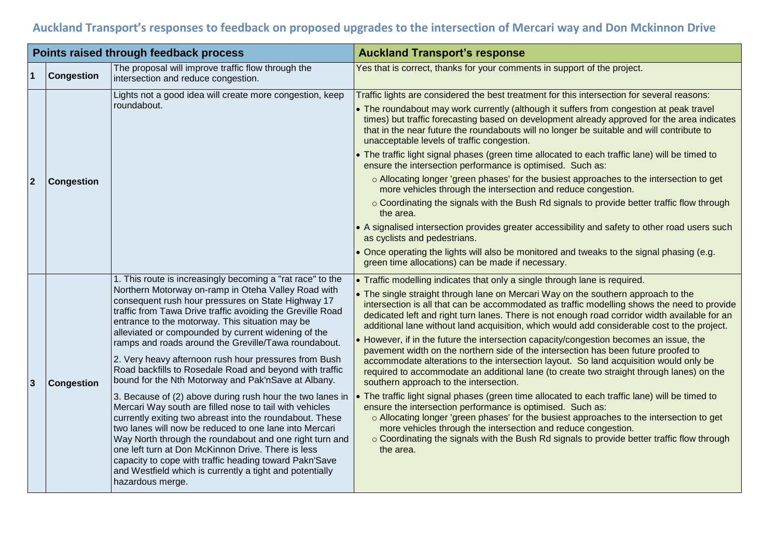## **Auckland Transport's responses to feedback on proposed upgrades to the intersection of Mercari way and Don Mckinnon Drive**

| Points raised through feedback process |                   |                                                                                                                                                                                                                                                                                                                                                                                                                                                                                                                                                                                                                                                                                                                                                                                                                                                                                                                                                                                                                                                                                             | <b>Auckland Transport's response</b>                                                                                                                                                                                                                                                                                                                                                                                                                                                                                                                                                                                                                                                                                                                                                                                                                                                                                                                                                                                                                                                                                                                                                                                                                                                                                  |
|----------------------------------------|-------------------|---------------------------------------------------------------------------------------------------------------------------------------------------------------------------------------------------------------------------------------------------------------------------------------------------------------------------------------------------------------------------------------------------------------------------------------------------------------------------------------------------------------------------------------------------------------------------------------------------------------------------------------------------------------------------------------------------------------------------------------------------------------------------------------------------------------------------------------------------------------------------------------------------------------------------------------------------------------------------------------------------------------------------------------------------------------------------------------------|-----------------------------------------------------------------------------------------------------------------------------------------------------------------------------------------------------------------------------------------------------------------------------------------------------------------------------------------------------------------------------------------------------------------------------------------------------------------------------------------------------------------------------------------------------------------------------------------------------------------------------------------------------------------------------------------------------------------------------------------------------------------------------------------------------------------------------------------------------------------------------------------------------------------------------------------------------------------------------------------------------------------------------------------------------------------------------------------------------------------------------------------------------------------------------------------------------------------------------------------------------------------------------------------------------------------------|
|                                        | <b>Congestion</b> | The proposal will improve traffic flow through the<br>intersection and reduce congestion.                                                                                                                                                                                                                                                                                                                                                                                                                                                                                                                                                                                                                                                                                                                                                                                                                                                                                                                                                                                                   | Yes that is correct, thanks for your comments in support of the project.                                                                                                                                                                                                                                                                                                                                                                                                                                                                                                                                                                                                                                                                                                                                                                                                                                                                                                                                                                                                                                                                                                                                                                                                                                              |
| $\overline{2}$                         | Congestion        | Lights not a good idea will create more congestion, keep<br>roundabout.                                                                                                                                                                                                                                                                                                                                                                                                                                                                                                                                                                                                                                                                                                                                                                                                                                                                                                                                                                                                                     | Traffic lights are considered the best treatment for this intersection for several reasons:<br>• The roundabout may work currently (although it suffers from congestion at peak travel<br>times) but traffic forecasting based on development already approved for the area indicates<br>that in the near future the roundabouts will no longer be suitable and will contribute to<br>unacceptable levels of traffic congestion.<br>. The traffic light signal phases (green time allocated to each traffic lane) will be timed to<br>ensure the intersection performance is optimised. Such as:<br>o Allocating longer 'green phases' for the busiest approaches to the intersection to get<br>more vehicles through the intersection and reduce congestion.<br>○ Coordinating the signals with the Bush Rd signals to provide better traffic flow through<br>the area.<br>• A signalised intersection provides greater accessibility and safety to other road users such<br>as cyclists and pedestrians.<br>• Once operating the lights will also be monitored and tweaks to the signal phasing (e.g.<br>green time allocations) can be made if necessary.                                                                                                                                                          |
| 3                                      | Congestion        | 1. This route is increasingly becoming a "rat race" to the<br>Northern Motorway on-ramp in Oteha Valley Road with<br>consequent rush hour pressures on State Highway 17<br>traffic from Tawa Drive traffic avoiding the Greville Road<br>entrance to the motorway. This situation may be<br>alleviated or compounded by current widening of the<br>ramps and roads around the Greville/Tawa roundabout.<br>2. Very heavy afternoon rush hour pressures from Bush<br>Road backfills to Rosedale Road and beyond with traffic<br>bound for the Nth Motorway and Pak'nSave at Albany.<br>3. Because of (2) above during rush hour the two lanes in<br>Mercari Way south are filled nose to tail with vehicles<br>currently exiting two abreast into the roundabout. These<br>two lanes will now be reduced to one lane into Mercari<br>Way North through the roundabout and one right turn and<br>one left turn at Don McKinnon Drive. There is less<br>capacity to cope with traffic heading toward Pakn'Save<br>and Westfield which is currently a tight and potentially<br>hazardous merge. | • Traffic modelling indicates that only a single through lane is required.<br>• The single straight through lane on Mercari Way on the southern approach to the<br>intersection is all that can be accommodated as traffic modelling shows the need to provide<br>dedicated left and right turn lanes. There is not enough road corridor width available for an<br>additional lane without land acquisition, which would add considerable cost to the project.<br>• However, if in the future the intersection capacity/congestion becomes an issue, the<br>pavement width on the northern side of the intersection has been future proofed to<br>accommodate alterations to the intersection layout. So land acquisition would only be<br>required to accommodate an additional lane (to create two straight through lanes) on the<br>southern approach to the intersection.<br>. The traffic light signal phases (green time allocated to each traffic lane) will be timed to<br>ensure the intersection performance is optimised. Such as:<br>o Allocating longer 'green phases' for the busiest approaches to the intersection to get<br>more vehicles through the intersection and reduce congestion.<br>○ Coordinating the signals with the Bush Rd signals to provide better traffic flow through<br>the area. |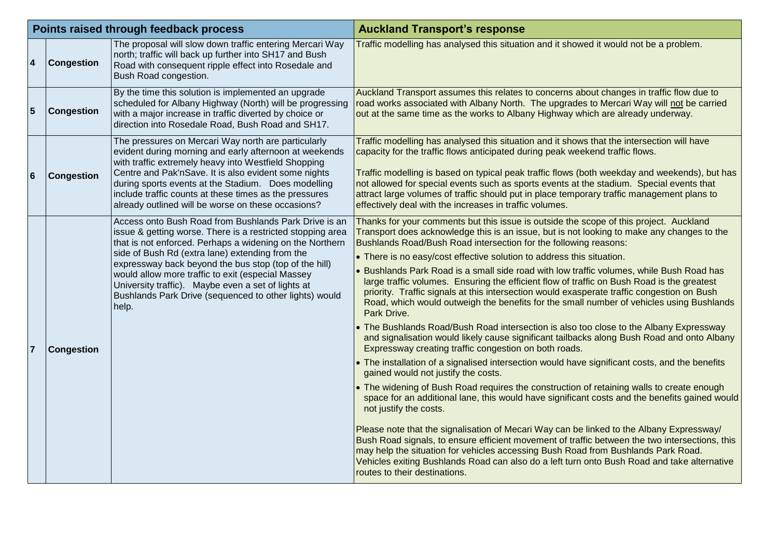| Points raised through feedback process |                   |                                                                                                                                                                                                                                                                                                                                                                                                                                                                           | <b>Auckland Transport's response</b>                                                                                                                                                                                                                                                                                                                                                                                                                                                                                                                                                                                                                                                                                                                                                                                                                                                                                                                                                                                                                                                                                                                                                                                                                                                                                                                                                                                                                                                                                                                                                                                                                                                                                                                                      |
|----------------------------------------|-------------------|---------------------------------------------------------------------------------------------------------------------------------------------------------------------------------------------------------------------------------------------------------------------------------------------------------------------------------------------------------------------------------------------------------------------------------------------------------------------------|---------------------------------------------------------------------------------------------------------------------------------------------------------------------------------------------------------------------------------------------------------------------------------------------------------------------------------------------------------------------------------------------------------------------------------------------------------------------------------------------------------------------------------------------------------------------------------------------------------------------------------------------------------------------------------------------------------------------------------------------------------------------------------------------------------------------------------------------------------------------------------------------------------------------------------------------------------------------------------------------------------------------------------------------------------------------------------------------------------------------------------------------------------------------------------------------------------------------------------------------------------------------------------------------------------------------------------------------------------------------------------------------------------------------------------------------------------------------------------------------------------------------------------------------------------------------------------------------------------------------------------------------------------------------------------------------------------------------------------------------------------------------------|
| $\boldsymbol{4}$                       | <b>Congestion</b> | The proposal will slow down traffic entering Mercari Way<br>north; traffic will back up further into SH17 and Bush<br>Road with consequent ripple effect into Rosedale and<br>Bush Road congestion.                                                                                                                                                                                                                                                                       | Traffic modelling has analysed this situation and it showed it would not be a problem.                                                                                                                                                                                                                                                                                                                                                                                                                                                                                                                                                                                                                                                                                                                                                                                                                                                                                                                                                                                                                                                                                                                                                                                                                                                                                                                                                                                                                                                                                                                                                                                                                                                                                    |
| $5\phantom{1}$                         | <b>Congestion</b> | By the time this solution is implemented an upgrade<br>scheduled for Albany Highway (North) will be progressing<br>with a major increase in traffic diverted by choice or<br>direction into Rosedale Road, Bush Road and SH17.                                                                                                                                                                                                                                            | Auckland Transport assumes this relates to concerns about changes in traffic flow due to<br>road works associated with Albany North. The upgrades to Mercari Way will not be carried<br>out at the same time as the works to Albany Highway which are already underway.                                                                                                                                                                                                                                                                                                                                                                                                                                                                                                                                                                                                                                                                                                                                                                                                                                                                                                                                                                                                                                                                                                                                                                                                                                                                                                                                                                                                                                                                                                   |
| 6                                      | <b>Congestion</b> | The pressures on Mercari Way north are particularly<br>evident during morning and early afternoon at weekends<br>with traffic extremely heavy into Westfield Shopping<br>Centre and Pak'nSave. It is also evident some nights<br>during sports events at the Stadium. Does modelling<br>include traffic counts at these times as the pressures<br>already outlined will be worse on these occasions?                                                                      | Traffic modelling has analysed this situation and it shows that the intersection will have<br>capacity for the traffic flows anticipated during peak weekend traffic flows.<br>Traffic modelling is based on typical peak traffic flows (both weekday and weekends), but has<br>not allowed for special events such as sports events at the stadium. Special events that<br>attract large volumes of traffic should put in place temporary traffic management plans to<br>effectively deal with the increases in traffic volumes.                                                                                                                                                                                                                                                                                                                                                                                                                                                                                                                                                                                                                                                                                                                                                                                                                                                                                                                                                                                                                                                                                                                                                                                                                                         |
| $\overline{7}$                         | <b>Congestion</b> | Access onto Bush Road from Bushlands Park Drive is an<br>issue & getting worse. There is a restricted stopping area<br>that is not enforced. Perhaps a widening on the Northern<br>side of Bush Rd (extra lane) extending from the<br>expressway back beyond the bus stop (top of the hill)<br>would allow more traffic to exit (especial Massey<br>University traffic). Maybe even a set of lights at<br>Bushlands Park Drive (sequenced to other lights) would<br>help. | Thanks for your comments but this issue is outside the scope of this project. Auckland<br>Transport does acknowledge this is an issue, but is not looking to make any changes to the<br>Bushlands Road/Bush Road intersection for the following reasons:<br>• There is no easy/cost effective solution to address this situation.<br>. Bushlands Park Road is a small side road with low traffic volumes, while Bush Road has<br>large traffic volumes. Ensuring the efficient flow of traffic on Bush Road is the greatest<br>priority. Traffic signals at this intersection would exasperate traffic congestion on Bush<br>Road, which would outweigh the benefits for the small number of vehicles using Bushlands<br>Park Drive.<br>• The Bushlands Road/Bush Road intersection is also too close to the Albany Expressway<br>and signalisation would likely cause significant tailbacks along Bush Road and onto Albany<br>Expressway creating traffic congestion on both roads.<br>• The installation of a signalised intersection would have significant costs, and the benefits<br>gained would not justify the costs.<br>• The widening of Bush Road requires the construction of retaining walls to create enough<br>space for an additional lane, this would have significant costs and the benefits gained would<br>not justify the costs.<br>Please note that the signalisation of Mecari Way can be linked to the Albany Expressway/<br>Bush Road signals, to ensure efficient movement of traffic between the two intersections, this<br>may help the situation for vehicles accessing Bush Road from Bushlands Park Road.<br>Vehicles exiting Bushlands Road can also do a left turn onto Bush Road and take alternative<br>routes to their destinations. |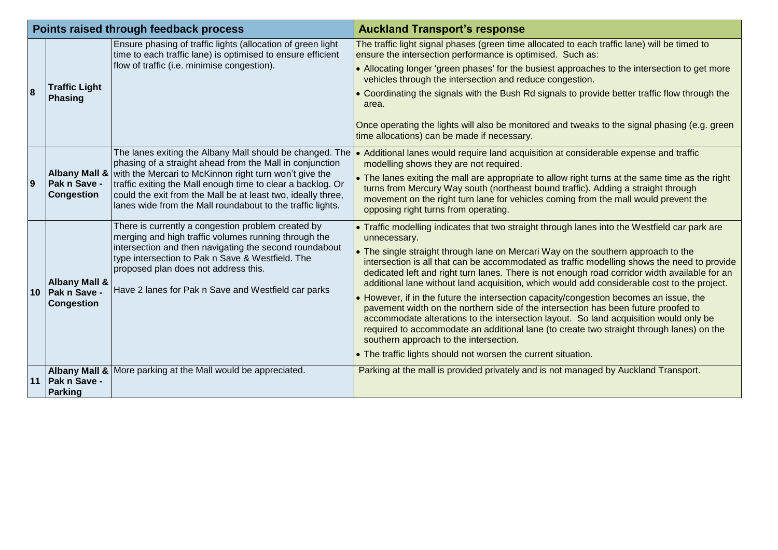| Points raised through feedback process |                                                               |                                                                                                                                                                                                                                                     | <b>Auckland Transport's response</b>                                                                                                                                                                                                                                                                                                                                                                        |
|----------------------------------------|---------------------------------------------------------------|-----------------------------------------------------------------------------------------------------------------------------------------------------------------------------------------------------------------------------------------------------|-------------------------------------------------------------------------------------------------------------------------------------------------------------------------------------------------------------------------------------------------------------------------------------------------------------------------------------------------------------------------------------------------------------|
| 8                                      | <b>Traffic Light</b><br>Phasing                               | Ensure phasing of traffic lights (allocation of green light<br>time to each traffic lane) is optimised to ensure efficient                                                                                                                          | The traffic light signal phases (green time allocated to each traffic lane) will be timed to<br>ensure the intersection performance is optimised. Such as:                                                                                                                                                                                                                                                  |
|                                        |                                                               | flow of traffic (i.e. minimise congestion).                                                                                                                                                                                                         | • Allocating longer 'green phases' for the busiest approaches to the intersection to get more<br>vehicles through the intersection and reduce congestion.                                                                                                                                                                                                                                                   |
|                                        |                                                               |                                                                                                                                                                                                                                                     | • Coordinating the signals with the Bush Rd signals to provide better traffic flow through the<br>area.                                                                                                                                                                                                                                                                                                     |
|                                        |                                                               |                                                                                                                                                                                                                                                     | Once operating the lights will also be monitored and tweaks to the signal phasing (e.g. green<br>time allocations) can be made if necessary.                                                                                                                                                                                                                                                                |
| $\overline{9}$                         |                                                               | The lanes exiting the Albany Mall should be changed. The<br>phasing of a straight ahead from the Mall in conjunction                                                                                                                                | • Additional lanes would require land acquisition at considerable expense and traffic<br>modelling shows they are not required.                                                                                                                                                                                                                                                                             |
|                                        | <b>Albany Mall &amp;</b><br>Pak n Save -<br><b>Congestion</b> | with the Mercari to McKinnon right turn won't give the<br>traffic exiting the Mall enough time to clear a backlog. Or<br>could the exit from the Mall be at least two, ideally three,<br>lanes wide from the Mall roundabout to the traffic lights. | • The lanes exiting the mall are appropriate to allow right turns at the same time as the right<br>turns from Mercury Way south (northeast bound traffic). Adding a straight through<br>movement on the right turn lane for vehicles coming from the mall would prevent the<br>opposing right turns from operating.                                                                                         |
| 10                                     | <b>Albany Mall &amp;</b>                                      | There is currently a congestion problem created by<br>merging and high traffic volumes running through the                                                                                                                                          | • Traffic modelling indicates that two straight through lanes into the Westfield car park are<br>unnecessary.                                                                                                                                                                                                                                                                                               |
|                                        |                                                               | intersection and then navigating the second roundabout<br>type intersection to Pak n Save & Westfield. The<br>proposed plan does not address this.<br>Have 2 lanes for Pak n Save and Westfield car parks                                           | . The single straight through lane on Mercari Way on the southern approach to the<br>intersection is all that can be accommodated as traffic modelling shows the need to provide<br>dedicated left and right turn lanes. There is not enough road corridor width available for an<br>additional lane without land acquisition, which would add considerable cost to the project.                            |
|                                        | Pak n Save -<br><b>Congestion</b>                             |                                                                                                                                                                                                                                                     | • However, if in the future the intersection capacity/congestion becomes an issue, the<br>pavement width on the northern side of the intersection has been future proofed to<br>accommodate alterations to the intersection layout. So land acquisition would only be<br>required to accommodate an additional lane (to create two straight through lanes) on the<br>southern approach to the intersection. |
|                                        |                                                               |                                                                                                                                                                                                                                                     | • The traffic lights should not worsen the current situation.                                                                                                                                                                                                                                                                                                                                               |
|                                        | <b>Albany Mall &amp;</b><br>11   Pak n Save -<br>Parking      | More parking at the Mall would be appreciated.                                                                                                                                                                                                      | Parking at the mall is provided privately and is not managed by Auckland Transport.                                                                                                                                                                                                                                                                                                                         |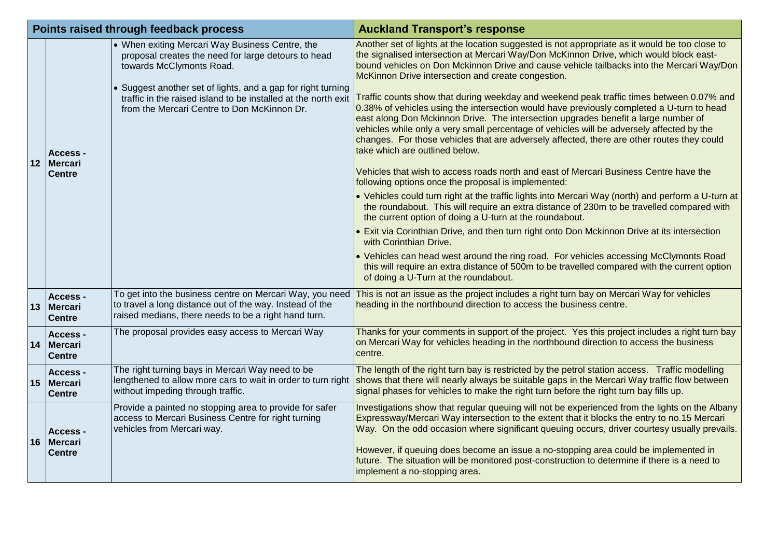| Points raised through feedback process |                                                     |                                                                                                                                                                                                                                                                                                                     | <b>Auckland Transport's response</b>                                                                                                                                                                                                                                                                                                                                                                                                                                                                                                                                                                                                                                                                                                                                                                                                                                                                                                                                                                                                                                                                                                                                                                                                                                                                                                                                                                                                                                                                                                                                                                                             |
|----------------------------------------|-----------------------------------------------------|---------------------------------------------------------------------------------------------------------------------------------------------------------------------------------------------------------------------------------------------------------------------------------------------------------------------|----------------------------------------------------------------------------------------------------------------------------------------------------------------------------------------------------------------------------------------------------------------------------------------------------------------------------------------------------------------------------------------------------------------------------------------------------------------------------------------------------------------------------------------------------------------------------------------------------------------------------------------------------------------------------------------------------------------------------------------------------------------------------------------------------------------------------------------------------------------------------------------------------------------------------------------------------------------------------------------------------------------------------------------------------------------------------------------------------------------------------------------------------------------------------------------------------------------------------------------------------------------------------------------------------------------------------------------------------------------------------------------------------------------------------------------------------------------------------------------------------------------------------------------------------------------------------------------------------------------------------------|
| 12                                     | <b>Access -</b><br><b>IMercari</b><br><b>Centre</b> | • When exiting Mercari Way Business Centre, the<br>proposal creates the need for large detours to head<br>towards McClymonts Road.<br>• Suggest another set of lights, and a gap for right turning<br>traffic in the raised island to be installed at the north exit<br>from the Mercari Centre to Don McKinnon Dr. | Another set of lights at the location suggested is not appropriate as it would be too close to<br>the signalised intersection at Mercari Way/Don McKinnon Drive, which would block east-<br>bound vehicles on Don Mckinnon Drive and cause vehicle tailbacks into the Mercari Way/Don<br>McKinnon Drive intersection and create congestion.<br>Traffic counts show that during weekday and weekend peak traffic times between 0.07% and<br>0.38% of vehicles using the intersection would have previously completed a U-turn to head<br>east along Don Mckinnon Drive. The intersection upgrades benefit a large number of<br>vehicles while only a very small percentage of vehicles will be adversely affected by the<br>changes. For those vehicles that are adversely affected, there are other routes they could<br>take which are outlined below.<br>Vehicles that wish to access roads north and east of Mercari Business Centre have the<br>following options once the proposal is implemented:<br>• Vehicles could turn right at the traffic lights into Mercari Way (north) and perform a U-turn at<br>the roundabout. This will require an extra distance of 230m to be travelled compared with<br>the current option of doing a U-turn at the roundabout.<br>• Exit via Corinthian Drive, and then turn right onto Don Mckinnon Drive at its intersection<br>with Corinthian Drive.<br>• Vehicles can head west around the ring road. For vehicles accessing McClymonts Road<br>this will require an extra distance of 500m to be travelled compared with the current option<br>of doing a U-Turn at the roundabout. |
|                                        | <b>Access -</b><br>13 Mercari<br><b>Centre</b>      | To get into the business centre on Mercari Way, you need<br>to travel a long distance out of the way. Instead of the<br>raised medians, there needs to be a right hand turn.                                                                                                                                        | This is not an issue as the project includes a right turn bay on Mercari Way for vehicles<br>heading in the northbound direction to access the business centre.                                                                                                                                                                                                                                                                                                                                                                                                                                                                                                                                                                                                                                                                                                                                                                                                                                                                                                                                                                                                                                                                                                                                                                                                                                                                                                                                                                                                                                                                  |
|                                        | Access -<br>14 Mercari<br><b>Centre</b>             | The proposal provides easy access to Mercari Way                                                                                                                                                                                                                                                                    | Thanks for your comments in support of the project. Yes this project includes a right turn bay<br>on Mercari Way for vehicles heading in the northbound direction to access the business<br>centre.                                                                                                                                                                                                                                                                                                                                                                                                                                                                                                                                                                                                                                                                                                                                                                                                                                                                                                                                                                                                                                                                                                                                                                                                                                                                                                                                                                                                                              |
|                                        | Access -<br>15 Mercari<br><b>Centre</b>             | The right turning bays in Mercari Way need to be<br>lengthened to allow more cars to wait in order to turn right<br>without impeding through traffic.                                                                                                                                                               | The length of the right turn bay is restricted by the petrol station access. Traffic modelling<br>shows that there will nearly always be suitable gaps in the Mercari Way traffic flow between<br>signal phases for vehicles to make the right turn before the right turn bay fills up.                                                                                                                                                                                                                                                                                                                                                                                                                                                                                                                                                                                                                                                                                                                                                                                                                                                                                                                                                                                                                                                                                                                                                                                                                                                                                                                                          |
|                                        | Access -<br>16 Mercari<br><b>Centre</b>             | Provide a painted no stopping area to provide for safer<br>access to Mercari Business Centre for right turning<br>vehicles from Mercari way.                                                                                                                                                                        | Investigations show that regular queuing will not be experienced from the lights on the Albany<br>Expressway/Mercari Way intersection to the extent that it blocks the entry to no.15 Mercari<br>Way. On the odd occasion where significant queuing occurs, driver courtesy usually prevails.<br>However, if queuing does become an issue a no-stopping area could be implemented in<br>future. The situation will be monitored post-construction to determine if there is a need to<br>implement a no-stopping area.                                                                                                                                                                                                                                                                                                                                                                                                                                                                                                                                                                                                                                                                                                                                                                                                                                                                                                                                                                                                                                                                                                            |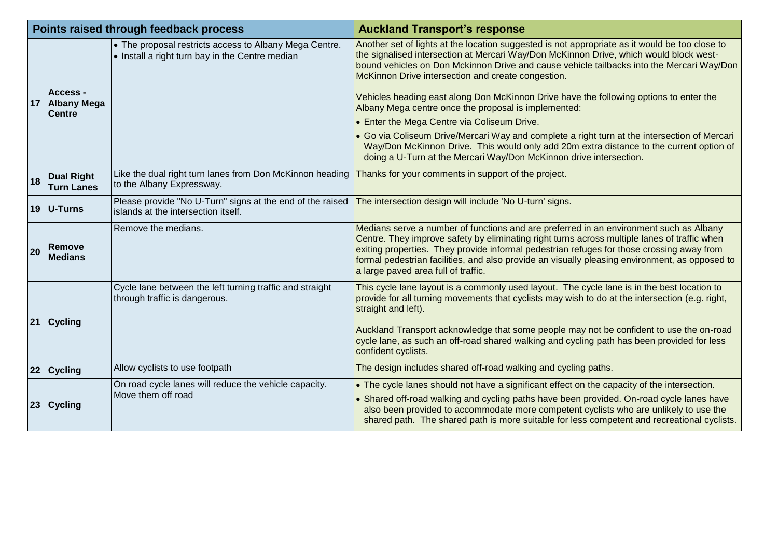| Points raised through feedback process |                                                 |                                                                                                                                                              | <b>Auckland Transport's response</b>                                                                                                                                                                                                                                                                                                                                                                                                                                                                                                                                                                                                                                                                                                                                                                        |
|----------------------------------------|-------------------------------------------------|--------------------------------------------------------------------------------------------------------------------------------------------------------------|-------------------------------------------------------------------------------------------------------------------------------------------------------------------------------------------------------------------------------------------------------------------------------------------------------------------------------------------------------------------------------------------------------------------------------------------------------------------------------------------------------------------------------------------------------------------------------------------------------------------------------------------------------------------------------------------------------------------------------------------------------------------------------------------------------------|
| 17                                     | Access -<br><b>Albany Mega</b><br><b>Centre</b> | • The proposal restricts access to Albany Mega Centre.<br>• Install a right turn bay in the Centre median                                                    | Another set of lights at the location suggested is not appropriate as it would be too close to<br>the signalised intersection at Mercari Way/Don McKinnon Drive, which would block west-<br>bound vehicles on Don Mckinnon Drive and cause vehicle tailbacks into the Mercari Way/Don<br>McKinnon Drive intersection and create congestion.<br>Vehicles heading east along Don McKinnon Drive have the following options to enter the<br>Albany Mega centre once the proposal is implemented:<br>• Enter the Mega Centre via Coliseum Drive.<br>Go via Coliseum Drive/Mercari Way and complete a right turn at the intersection of Mercari<br>Way/Don McKinnon Drive. This would only add 20m extra distance to the current option of<br>doing a U-Turn at the Mercari Way/Don McKinnon drive intersection. |
| 18                                     | <b>Dual Right</b><br><b>Turn Lanes</b>          | Like the dual right turn lanes from Don McKinnon heading<br>to the Albany Expressway.                                                                        | Thanks for your comments in support of the project.                                                                                                                                                                                                                                                                                                                                                                                                                                                                                                                                                                                                                                                                                                                                                         |
|                                        | 19 $ U-Turns$                                   | Please provide "No U-Turn" signs at the end of the raised $ $ The intersection design will include 'No U-turn' signs.<br>islands at the intersection itself. |                                                                                                                                                                                                                                                                                                                                                                                                                                                                                                                                                                                                                                                                                                                                                                                                             |
| 20                                     | Remove<br><b>Medians</b>                        | Remove the medians.                                                                                                                                          | Medians serve a number of functions and are preferred in an environment such as Albany<br>Centre. They improve safety by eliminating right turns across multiple lanes of traffic when<br>exiting properties. They provide informal pedestrian refuges for those crossing away from<br>formal pedestrian facilities, and also provide an visually pleasing environment, as opposed to<br>a large paved area full of traffic.                                                                                                                                                                                                                                                                                                                                                                                |
| 21                                     | $ C$ ycling                                     | Cycle lane between the left turning traffic and straight<br>through traffic is dangerous.                                                                    | This cycle lane layout is a commonly used layout. The cycle lane is in the best location to<br>provide for all turning movements that cyclists may wish to do at the intersection (e.g. right,<br>straight and left).<br>Auckland Transport acknowledge that some people may not be confident to use the on-road<br>cycle lane, as such an off-road shared walking and cycling path has been provided for less<br>confident cyclists.                                                                                                                                                                                                                                                                                                                                                                       |
|                                        | 22 Cycling                                      | Allow cyclists to use footpath                                                                                                                               | The design includes shared off-road walking and cycling paths.                                                                                                                                                                                                                                                                                                                                                                                                                                                                                                                                                                                                                                                                                                                                              |
| 23                                     | $ C$ ycling                                     | On road cycle lanes will reduce the vehicle capacity.<br>Move them off road                                                                                  | $\bullet$ The cycle lanes should not have a significant effect on the capacity of the intersection.<br>• Shared off-road walking and cycling paths have been provided. On-road cycle lanes have<br>also been provided to accommodate more competent cyclists who are unlikely to use the<br>shared path. The shared path is more suitable for less competent and recreational cyclists.                                                                                                                                                                                                                                                                                                                                                                                                                     |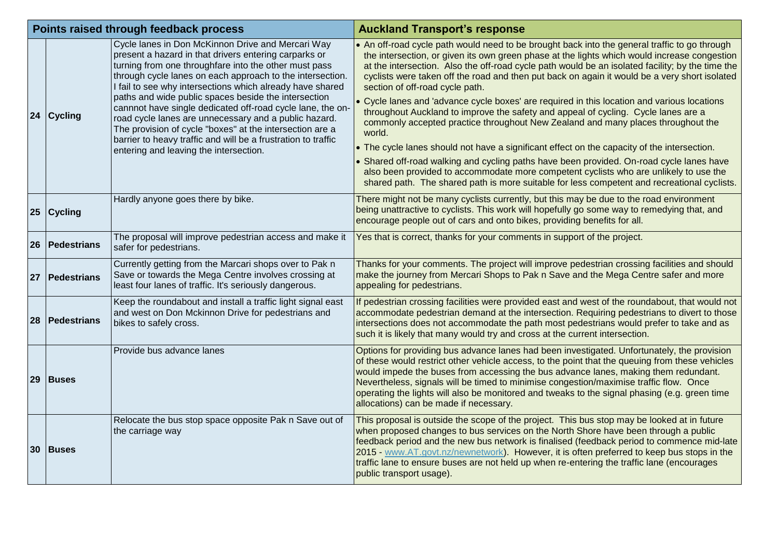| Points raised through feedback process |                  |                                                                                                                                                                                                                                                                                                                                                       | <b>Auckland Transport's response</b>                                                                                                                                                                                                                                                                                                                                                                                                                                                                                       |
|----------------------------------------|------------------|-------------------------------------------------------------------------------------------------------------------------------------------------------------------------------------------------------------------------------------------------------------------------------------------------------------------------------------------------------|----------------------------------------------------------------------------------------------------------------------------------------------------------------------------------------------------------------------------------------------------------------------------------------------------------------------------------------------------------------------------------------------------------------------------------------------------------------------------------------------------------------------------|
|                                        |                  | Cycle lanes in Don McKinnon Drive and Mercari Way<br>present a hazard in that drivers entering carparks or<br>turning from one throughfare into the other must pass<br>through cycle lanes on each approach to the intersection.<br>I fail to see why intersections which already have shared<br>paths and wide public spaces beside the intersection | • An off-road cycle path would need to be brought back into the general traffic to go through<br>the intersection, or given its own green phase at the lights which would increase congestion<br>at the intersection. Also the off-road cycle path would be an isolated facility; by the time the<br>cyclists were taken off the road and then put back on again it would be a very short isolated<br>section of off-road cycle path.                                                                                      |
|                                        | 24 Cycling       | cannnot have single dedicated off-road cycle lane, the on-<br>road cycle lanes are unnecessary and a public hazard.<br>The provision of cycle "boxes" at the intersection are a<br>barrier to heavy traffic and will be a frustration to traffic<br>entering and leaving the intersection.                                                            | • Cycle lanes and 'advance cycle boxes' are required in this location and various locations<br>throughout Auckland to improve the safety and appeal of cycling. Cycle lanes are a<br>commonly accepted practice throughout New Zealand and many places throughout the<br>world.<br>• The cycle lanes should not have a significant effect on the capacity of the intersection.                                                                                                                                             |
|                                        |                  | • Shared off-road walking and cycling paths have been provided. On-road cycle lanes have<br>also been provided to accommodate more competent cyclists who are unlikely to use the<br>shared path. The shared path is more suitable for less competent and recreational cyclists.                                                                      |                                                                                                                                                                                                                                                                                                                                                                                                                                                                                                                            |
|                                        | 25 Cycling       | Hardly anyone goes there by bike.                                                                                                                                                                                                                                                                                                                     | There might not be many cyclists currently, but this may be due to the road environment<br>being unattractive to cyclists. This work will hopefully go some way to remedying that, and<br>encourage people out of cars and onto bikes, providing benefits for all.                                                                                                                                                                                                                                                         |
| <b>26</b>                              | Pedestrians      | The proposal will improve pedestrian access and make it<br>safer for pedestrians.                                                                                                                                                                                                                                                                     | Yes that is correct, thanks for your comments in support of the project.                                                                                                                                                                                                                                                                                                                                                                                                                                                   |
|                                        | 27   Pedestrians | Currently getting from the Marcari shops over to Pak n<br>Save or towards the Mega Centre involves crossing at<br>least four lanes of traffic. It's seriously dangerous.                                                                                                                                                                              | Thanks for your comments. The project will improve pedestrian crossing facilities and should<br>make the journey from Mercari Shops to Pak n Save and the Mega Centre safer and more<br>appealing for pedestrians.                                                                                                                                                                                                                                                                                                         |
|                                        | 28   Pedestrians | Keep the roundabout and install a traffic light signal east<br>and west on Don Mckinnon Drive for pedestrians and<br>bikes to safely cross.                                                                                                                                                                                                           | If pedestrian crossing facilities were provided east and west of the roundabout, that would not<br>accommodate pedestrian demand at the intersection. Requiring pedestrians to divert to those<br>intersections does not accommodate the path most pedestrians would prefer to take and as<br>such it is likely that many would try and cross at the current intersection.                                                                                                                                                 |
| 29                                     | Buses            | Provide bus advance lanes                                                                                                                                                                                                                                                                                                                             | Options for providing bus advance lanes had been investigated. Unfortunately, the provision<br>of these would restrict other vehicle access, to the point that the queuing from these vehicles<br>would impede the buses from accessing the bus advance lanes, making them redundant.<br>Nevertheless, signals will be timed to minimise congestion/maximise traffic flow. Once<br>operating the lights will also be monitored and tweaks to the signal phasing (e.g. green time<br>allocations) can be made if necessary. |
|                                        | 30 Buses         | Relocate the bus stop space opposite Pak n Save out of<br>the carriage way                                                                                                                                                                                                                                                                            | This proposal is outside the scope of the project. This bus stop may be looked at in future<br>when proposed changes to bus services on the North Shore have been through a public<br>feedback period and the new bus network is finalised (feedback period to commence mid-late<br>2015 - www.AT.govt.nz/newnetwork). However, it is often preferred to keep bus stops in the<br>traffic lane to ensure buses are not held up when re-entering the traffic lane (encourages<br>public transport usage).                   |